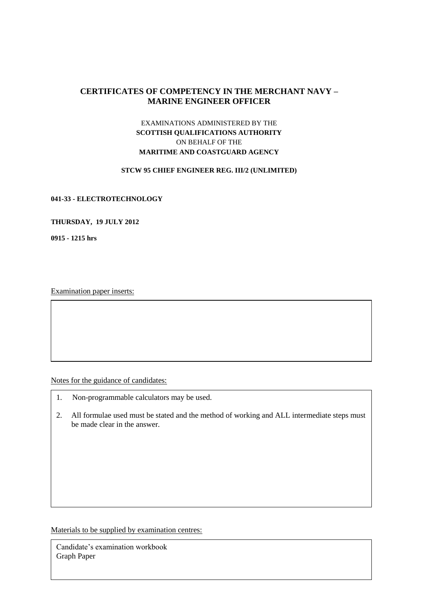# **CERTIFICATES OF COMPETENCY IN THE MERCHANT NAVY – MARINE ENGINEER OFFICER**

# EXAMINATIONS ADMINISTERED BY THE **SCOTTISH QUALIFICATIONS AUTHORITY** ON BEHALF OF THE **MARITIME AND COASTGUARD AGENCY**

### **STCW 95 CHIEF ENGINEER REG. III/2 (UNLIMITED)**

### **041-33 - ELECTROTECHNOLOGY**

## **THURSDAY, 19 JULY 2012**

**0915 - 1215 hrs**

Examination paper inserts:

Notes for the guidance of candidates:

- 1. Non-programmable calculators may be used.
- 2. All formulae used must be stated and the method of working and ALL intermediate steps must be made clear in the answer.

Materials to be supplied by examination centres:

Candidate's examination workbook Graph Paper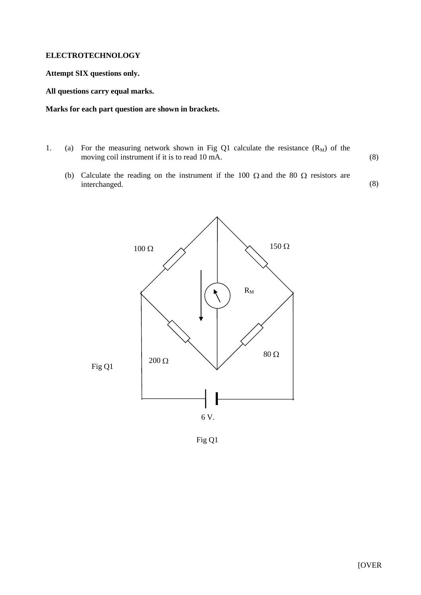### **ELECTROTECHNOLOGY**

### **Attempt SIX questions only.**

**All questions carry equal marks.**

### **Marks for each part question are shown in brackets.**

- 1. (a) For the measuring network shown in Fig Q1 calculate the resistance  $(R_M)$  of the moving coil instrument if it is to read 10 mA. (8)
	- (b) Calculate the reading on the instrument if the 100  $\Omega$  and the 80  $\Omega$  resistors are interchanged. (8)



Fig Q1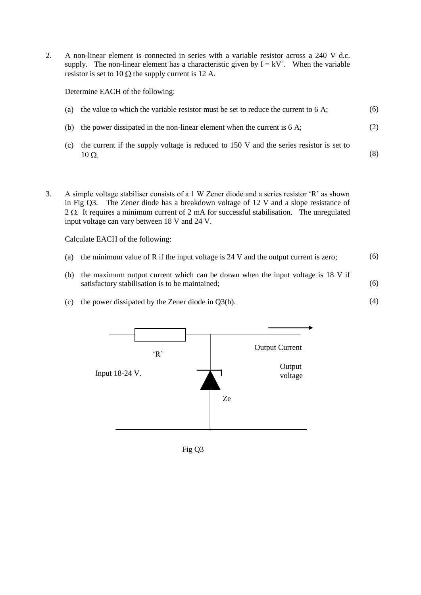2. A non-linear element is connected in series with a variable resistor across a 240 V d.c. supply. The non-linear element has a characteristic given by  $I = kV^2$ . When the variable resistor is set to 10  $\Omega$  the supply current is 12 A.

Determine EACH of the following:

- (a) the value to which the variable resistor must be set to reduce the current to 6 A; (6)
- (b) the power dissipated in the non-linear element when the current is 6 A; (2)
- (c) the current if the supply voltage is reduced to 150 V and the series resistor is set to  $10 \Omega$ . (8)
- 3. A simple voltage stabiliser consists of a 1 W Zener diode and a series resistor 'R' as shown in Fig Q3. The Zener diode has a breakdown voltage of 12 V and a slope resistance of  $2 \Omega$ . It requires a minimum current of 2 mA for successful stabilisation. The unregulated input voltage can vary between 18 V and 24 V.

Calculate EACH of the following:

- (a) the minimum value of R if the input voltage is  $24$  V and the output current is zero; (6)
- (b) the maximum output current which can be drawn when the input voltage is 18 V if satisfactory stabilisation is to be maintained; (6)

(4)

(c) the power dissipated by the Zener diode in Q3(b).



Fig Q3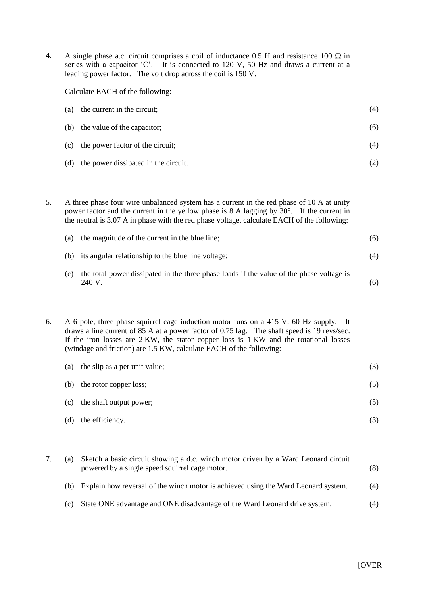4. A single phase a.c. circuit comprises a coil of inductance 0.5 H and resistance 100  $\Omega$  in series with a capacitor 'C'. It is connected to 120 V, 50 Hz and draws a current at a leading power factor. The volt drop across the coil is 150 V.

Calculate EACH of the following:

| (a) the current in the circuit;      | (4) |
|--------------------------------------|-----|
| (b) the value of the capacitor;      | (6) |
| (c) the power factor of the circuit; | (4) |

- (d) the power dissipated in the circuit. (2)
- 5. A three phase four wire unbalanced system has a current in the red phase of 10 A at unity power factor and the current in the yellow phase is 8 A lagging by 30°. If the current in the neutral is 3.07 A in phase with the red phase voltage, calculate EACH of the following:

| (a) the magnitude of the current in the blue line;     | (6) |
|--------------------------------------------------------|-----|
| (b) its angular relationship to the blue line voltage; | (4) |

(c) the total power dissipated in the three phase loads if the value of the phase voltage is 240 V. (6)

6. A 6 pole, three phase squirrel cage induction motor runs on a 415 V, 60 Hz supply. It draws a line current of 85 A at a power factor of 0.75 lag. The shaft speed is 19 revs/sec. If the iron losses are 2 KW, the stator copper loss is 1 KW and the rotational losses (windage and friction) are 1.5 KW, calculate EACH of the following:

| (a) | the slip as a per unit value; | (3) |
|-----|-------------------------------|-----|
| (b) | the rotor copper loss;        | (5) |
| (c) | the shaft output power;       | (5) |
| (d) | the efficiency.               |     |

| (a) | Sketch a basic circuit showing a d.c. winch motor driven by a Ward Leonard circuit<br>powered by a single speed squirrel cage motor. | (8) |
|-----|--------------------------------------------------------------------------------------------------------------------------------------|-----|
| (b) | Explain how reversal of the winch motor is achieved using the Ward Leonard system.                                                   | (4) |
| (c) | State ONE advantage and ONE disadvantage of the Ward Leonard drive system.                                                           | (4) |